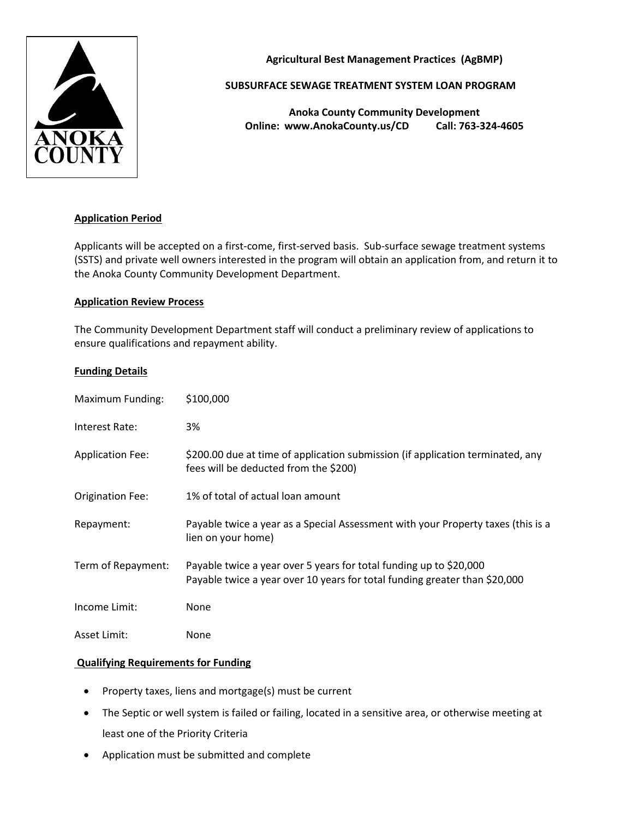

**Agricultural Best Management Practices (AgBMP)**

### **SUBSURFACE SEWAGE TREATMENT SYSTEM LOAN PROGRAM**

**Anoka County Community Development Online: www.AnokaCounty.us/CD Call: 763-324-4605**

### **Application Period**

Applicants will be accepted on a first-come, first-served basis. Sub-surface sewage treatment systems (SSTS) and private well owners interested in the program will obtain an application from, and return it to the Anoka County Community Development Department.

#### **Application Review Process**

The Community Development Department staff will conduct a preliminary review of applications to ensure qualifications and repayment ability.

#### **Funding Details**

| Maximum Funding:        | \$100,000                                                                                                                                        |
|-------------------------|--------------------------------------------------------------------------------------------------------------------------------------------------|
| Interest Rate:          | 3%                                                                                                                                               |
| <b>Application Fee:</b> | \$200.00 due at time of application submission (if application terminated, any<br>fees will be deducted from the \$200)                          |
| <b>Origination Fee:</b> | 1% of total of actual loan amount                                                                                                                |
| Repayment:              | Payable twice a year as a Special Assessment with your Property taxes (this is a<br>lien on your home)                                           |
| Term of Repayment:      | Payable twice a year over 5 years for total funding up to \$20,000<br>Payable twice a year over 10 years for total funding greater than \$20,000 |
| Income Limit:           | None                                                                                                                                             |
| Asset Limit:            | None                                                                                                                                             |

### **Qualifying Requirements for Funding**

- Property taxes, liens and mortgage(s) must be current
- The Septic or well system is failed or failing, located in a sensitive area, or otherwise meeting at least one of the Priority Criteria
- Application must be submitted and complete